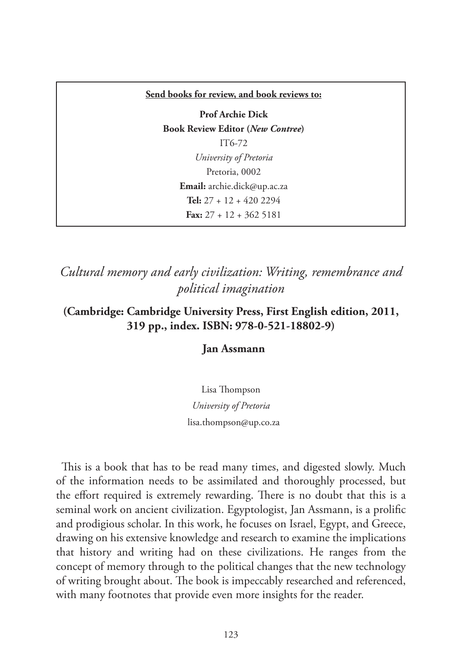#### **Send books for review, and book reviews to:**

**Prof Archie Dick Book Review Editor (***New Contree***)**  IT6-72 *University of Pretoria* Pretoria, 0002 **Email:** archie.dick@up.ac.za **Tel:** 27 + 12 + 420 2294 **Fax:** 27 + 12 + 362 5181

*Cultural memory and early civilization: Writing, remembrance and political imagination*

**(Cambridge: Cambridge University Press, First English edition, 2011, 319 pp., index. ISBN: 978-0-521-18802-9)**

### **Jan Assmann**

Lisa Thompson *University of Pretoria* lisa.thompson@up.co.za

This is a book that has to be read many times, and digested slowly. Much of the information needs to be assimilated and thoroughly processed, but the effort required is extremely rewarding. There is no doubt that this is a seminal work on ancient civilization. Egyptologist, Jan Assmann, is a prolific and prodigious scholar. In this work, he focuses on Israel, Egypt, and Greece, drawing on his extensive knowledge and research to examine the implications that history and writing had on these civilizations. He ranges from the concept of memory through to the political changes that the new technology of writing brought about. The book is impeccably researched and referenced, with many footnotes that provide even more insights for the reader.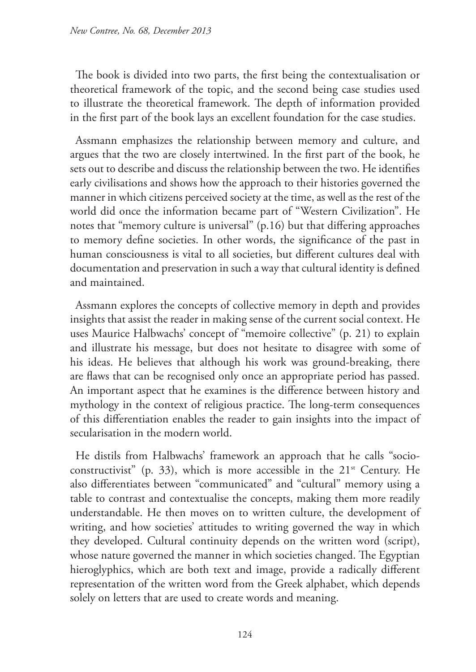The book is divided into two parts, the first being the contextualisation or theoretical framework of the topic, and the second being case studies used to illustrate the theoretical framework. The depth of information provided in the first part of the book lays an excellent foundation for the case studies.

Assmann emphasizes the relationship between memory and culture, and argues that the two are closely intertwined. In the first part of the book, he sets out to describe and discuss the relationship between the two. He identifies early civilisations and shows how the approach to their histories governed the manner in which citizens perceived society at the time, as well as the rest of the world did once the information became part of "Western Civilization". He notes that "memory culture is universal" (p.16) but that differing approaches to memory define societies. In other words, the significance of the past in human consciousness is vital to all societies, but different cultures deal with documentation and preservation in such a way that cultural identity is defined and maintained.

Assmann explores the concepts of collective memory in depth and provides insights that assist the reader in making sense of the current social context. He uses Maurice Halbwachs' concept of "memoire collective" (p. 21) to explain and illustrate his message, but does not hesitate to disagree with some of his ideas. He believes that although his work was ground-breaking, there are flaws that can be recognised only once an appropriate period has passed. An important aspect that he examines is the difference between history and mythology in the context of religious practice. The long-term consequences of this differentiation enables the reader to gain insights into the impact of secularisation in the modern world.

He distils from Halbwachs' framework an approach that he calls "socioconstructivist" (p. 33), which is more accessible in the  $21<sup>st</sup>$  Century. He also differentiates between "communicated" and "cultural" memory using a table to contrast and contextualise the concepts, making them more readily understandable. He then moves on to written culture, the development of writing, and how societies' attitudes to writing governed the way in which they developed. Cultural continuity depends on the written word (script), whose nature governed the manner in which societies changed. The Egyptian hieroglyphics, which are both text and image, provide a radically different representation of the written word from the Greek alphabet, which depends solely on letters that are used to create words and meaning.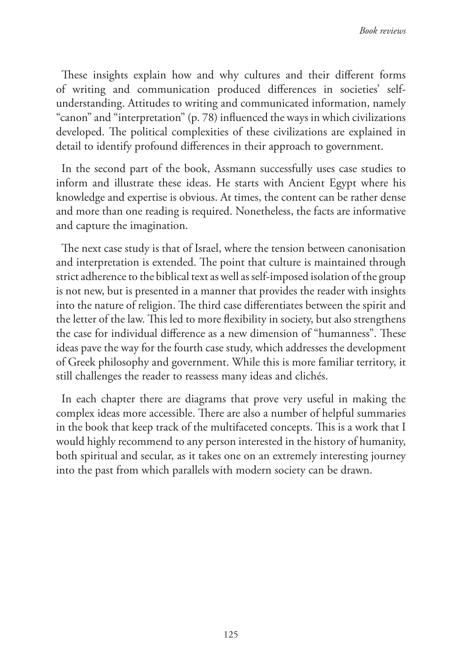These insights explain how and why cultures and their different forms of writing and communication produced differences in societies' selfunderstanding. Attitudes to writing and communicated information, namely "canon" and "interpretation" (p. 78) influenced the ways in which civilizations developed. The political complexities of these civilizations are explained in detail to identify profound differences in their approach to government.

In the second part of the book, Assmann successfully uses case studies to inform and illustrate these ideas. He starts with Ancient Egypt where his knowledge and expertise is obvious. At times, the content can be rather dense and more than one reading is required. Nonetheless, the facts are informative and capture the imagination.

The next case study is that of Israel, where the tension between canonisation and interpretation is extended. The point that culture is maintained through strict adherence to the biblical text as well as self-imposed isolation of the group is not new, but is presented in a manner that provides the reader with insights into the nature of religion. The third case differentiates between the spirit and the letter of the law. This led to more flexibility in society, but also strengthens the case for individual difference as a new dimension of "humanness". These ideas pave the way for the fourth case study, which addresses the development of Greek philosophy and government. While this is more familiar territory, it still challenges the reader to reassess many ideas and clichés.

In each chapter there are diagrams that prove very useful in making the complex ideas more accessible. There are also a number of helpful summaries in the book that keep track of the multifaceted concepts. This is a work that I would highly recommend to any person interested in the history of humanity, both spiritual and secular, as it takes one on an extremely interesting journey into the past from which parallels with modern society can be drawn.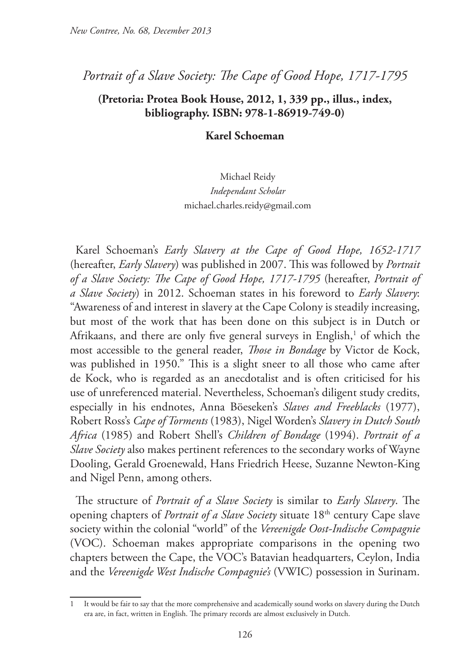## *Portrait of a Slave Society: The Cape of Good Hope, 1717-1795*

## **(Pretoria: Protea Book House, 2012, 1, 339 pp., illus., index, bibliography. ISBN: 978-1-86919-749-0)**

#### **Karel Schoeman**

## Michael Reidy *Independant Scholar* michael.charles.reidy@gmail.com

Karel Schoeman's *Early Slavery at the Cape of Good Hope, 1652-1717*  (hereafter, *Early Slavery*) was published in 2007. This was followed by *Portrait of a Slave Society: The Cape of Good Hope, 1717-1795* (hereafter, *Portrait of a Slave Society*) in 2012. Schoeman states in his foreword to *Early Slavery*: "Awareness of and interest in slavery at the Cape Colony is steadily increasing, but most of the work that has been done on this subject is in Dutch or Afrikaans, and there are only five general surveys in English,<sup>1</sup> of which the most accessible to the general reader, *Those in Bondage* by Victor de Kock, was published in 1950." This is a slight sneer to all those who came after de Kock, who is regarded as an anecdotalist and is often criticised for his use of unreferenced material. Nevertheless, Schoeman's diligent study credits, especially in his endnotes, Anna Böeseken's *Slaves and Freeblacks* (1977), Robert Ross's *Cape of Torments* (1983), Nigel Worden's *Slavery in Dutch South Africa* (1985) and Robert Shell's *Children of Bondage* (1994). *Portrait of a Slave Society* also makes pertinent references to the secondary works of Wayne Dooling, Gerald Groenewald, Hans Friedrich Heese, Suzanne Newton-King and Nigel Penn, among others.

The structure of *Portrait of a Slave Society* is similar to *Early Slavery*. The opening chapters of *Portrait of a Slave Society* situate 18<sup>th</sup> century Cape slave society within the colonial "world" of the *Vereenigde Oost-Indische Compagnie*  (VOC). Schoeman makes appropriate comparisons in the opening two chapters between the Cape, the VOC's Batavian headquarters, Ceylon, India and the *Vereenigde West Indische Compagnie's* (VWIC) possession in Surinam.

<sup>1</sup> It would be fair to say that the more comprehensive and academically sound works on slavery during the Dutch era are, in fact, written in English. The primary records are almost exclusively in Dutch.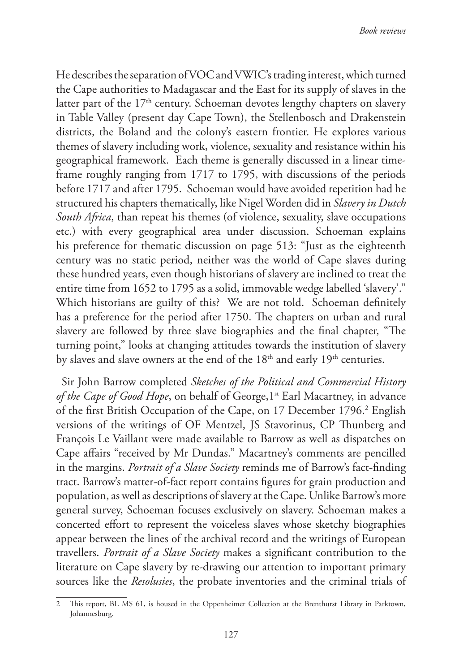He describes the separation of VOC and VWIC's trading interest, which turned the Cape authorities to Madagascar and the East for its supply of slaves in the latter part of the  $17<sup>th</sup>$  century. Schoeman devotes lengthy chapters on slavery in Table Valley (present day Cape Town), the Stellenbosch and Drakenstein districts, the Boland and the colony's eastern frontier. He explores various themes of slavery including work, violence, sexuality and resistance within his geographical framework. Each theme is generally discussed in a linear timeframe roughly ranging from 1717 to 1795, with discussions of the periods before 1717 and after 1795. Schoeman would have avoided repetition had he structured his chapters thematically, like Nigel Worden did in *Slavery in Dutch South Africa*, than repeat his themes (of violence, sexuality, slave occupations etc.) with every geographical area under discussion. Schoeman explains his preference for thematic discussion on page 513: "Just as the eighteenth century was no static period, neither was the world of Cape slaves during these hundred years, even though historians of slavery are inclined to treat the entire time from 1652 to 1795 as a solid, immovable wedge labelled 'slavery'." Which historians are guilty of this? We are not told. Schoeman definitely has a preference for the period after 1750. The chapters on urban and rural slavery are followed by three slave biographies and the final chapter, "The turning point," looks at changing attitudes towards the institution of slavery by slaves and slave owners at the end of the  $18<sup>th</sup>$  and early  $19<sup>th</sup>$  centuries.

Sir John Barrow completed *Sketches of the Political and Commercial History*  of the Cape of Good Hope, on behalf of George, 1<sup>st</sup> Earl Macartney, in advance of the first British Occupation of the Cape, on 17 December 1796.<sup>2</sup> English versions of the writings of OF Mentzel, JS Stavorinus, CP Thunberg and François Le Vaillant were made available to Barrow as well as dispatches on Cape affairs "received by Mr Dundas." Macartney's comments are pencilled in the margins. *Portrait of a Slave Society* reminds me of Barrow's fact-finding tract. Barrow's matter-of-fact report contains figures for grain production and population, as well as descriptions of slavery at the Cape. Unlike Barrow's more general survey, Schoeman focuses exclusively on slavery. Schoeman makes a concerted effort to represent the voiceless slaves whose sketchy biographies appear between the lines of the archival record and the writings of European travellers. *Portrait of a Slave Society* makes a significant contribution to the literature on Cape slavery by re-drawing our attention to important primary sources like the *Resolusies*, the probate inventories and the criminal trials of

<sup>2</sup> This report, BL MS 61, is housed in the Oppenheimer Collection at the Brenthurst Library in Parktown, Johannesburg.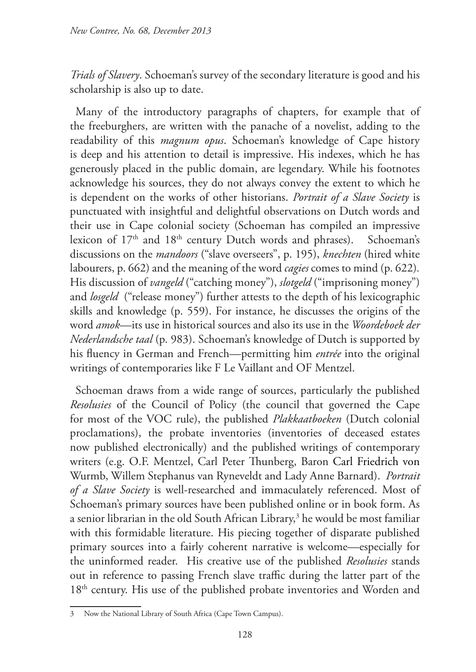*Trials of Slavery*. Schoeman's survey of the secondary literature is good and his scholarship is also up to date.

Many of the introductory paragraphs of chapters, for example that of the freeburghers, are written with the panache of a novelist, adding to the readability of this *magnum opus*. Schoeman's knowledge of Cape history is deep and his attention to detail is impressive. His indexes, which he has generously placed in the public domain, are legendary. While his footnotes acknowledge his sources, they do not always convey the extent to which he is dependent on the works of other historians. *Portrait of a Slave Society* is punctuated with insightful and delightful observations on Dutch words and their use in Cape colonial society (Schoeman has compiled an impressive lexicon of 17<sup>th</sup> and 18<sup>th</sup> century Dutch words and phrases). Schoeman's discussions on the *mandoors* ("slave overseers", p. 195), *knechten* (hired white labourers, p. 662) and the meaning of the word *cagies* comes to mind (p. 622)*.*  His discussion of *vangeld* ("catching money"), *slotgeld* ("imprisoning money") and *losgeld* ("release money") further attests to the depth of his lexicographic skills and knowledge (p. 559). For instance, he discusses the origins of the word *amok*—its use in historical sources and also its use in the *Woordeboek der Nederlandsche taal* (p. 983). Schoeman's knowledge of Dutch is supported by his fluency in German and French—permitting him *entrée* into the original writings of contemporaries like F Le Vaillant and OF Mentzel.

Schoeman draws from a wide range of sources, particularly the published *Resolusies* of the Council of Policy (the council that governed the Cape for most of the VOC rule), the published *Plakkaatboeken* (Dutch colonial proclamations), the probate inventories (inventories of deceased estates now published electronically) and the published writings of contemporary writers (e.g. O.F. Mentzel, Carl Peter Thunberg, Baron Carl Friedrich von Wurmb, Willem Stephanus van Ryneveldt and Lady Anne Barnard). *Portrait of a Slave Society* is well-researched and immaculately referenced. Most of Schoeman's primary sources have been published online or in book form. As a senior librarian in the old South African Library,<sup>3</sup> he would be most familiar with this formidable literature. His piecing together of disparate published primary sources into a fairly coherent narrative is welcome—especially for the uninformed reader. His creative use of the published *Resolusies* stands out in reference to passing French slave traffic during the latter part of the 18<sup>th</sup> century. His use of the published probate inventories and Worden and

<sup>3</sup> Now the National Library of South Africa (Cape Town Campus).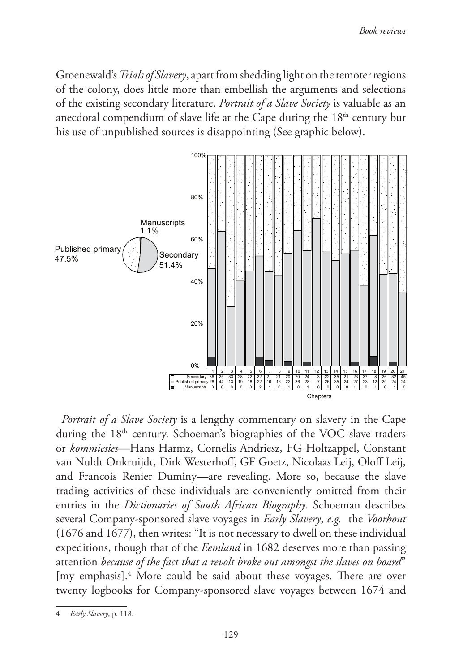Groenewald's *Trials of Slavery*, apart from shedding light on the remoter regions of the colony, does little more than embellish the arguments and selections of the existing secondary literature. *Portrait of a Slave Society* is valuable as an anecdotal compendium of slave life at the Cape during the 18<sup>th</sup> century but his use of unpublished sources is disappointing (See graphic below).



*Portrait of a Slave Society* is a lengthy commentary on slavery in the Cape during the 18<sup>th</sup> century. Schoeman's biographies of the VOC slave traders or *kommiesies*—Hans Harmz, Cornelis Andriesz, FG Holtzappel, Constant van Nuldt Onkruijdt, Dirk Westerhoff, GF Goetz, Nicolaas Leij, Oloff Leij, and Francois Renier Duminy—are revealing. More so, because the slave trading activities of these individuals are conveniently omitted from their entries in the *Dictionaries of South African Biography*. Schoeman describes several Company-sponsored slave voyages in *Early Slavery*, *e.g.* the *Voorhout*  (1676 and 1677), then writes: "It is not necessary to dwell on these individual expeditions, though that of the *Eemland* in 1682 deserves more than passing attention *because of the fact that a revolt broke out amongst the slaves on board*" [my emphasis].<sup>4</sup> More could be said about these voyages. There are over twenty logbooks for Company-sponsored slave voyages between 1674 and

<sup>4</sup> *Early Slavery*, p. 118.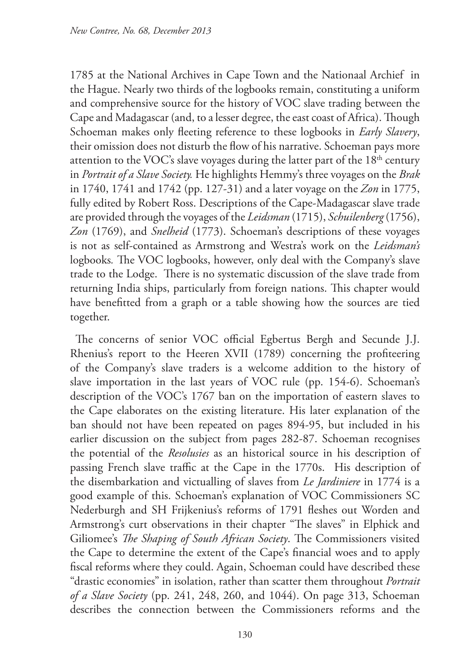1785 at the National Archives in Cape Town and the Nationaal Archief in the Hague. Nearly two thirds of the logbooks remain, constituting a uniform and comprehensive source for the history of VOC slave trading between the Cape and Madagascar (and, to a lesser degree, the east coast of Africa). Though Schoeman makes only fleeting reference to these logbooks in *Early Slavery*, their omission does not disturb the flow of his narrative. Schoeman pays more attention to the VOC's slave voyages during the latter part of the  $18<sup>th</sup>$  century in *Portrait of a Slave Society.* He highlights Hemmy's three voyages on the *Brak*  in 1740, 1741 and 1742 (pp. 127-31) and a later voyage on the *Zon* in 1775, fully edited by Robert Ross. Descriptions of the Cape-Madagascar slave trade are provided through the voyages of the *Leidsman* (1715), *Schuilenberg* (1756), *Zon* (1769), and *Snelheid* (1773). Schoeman's descriptions of these voyages is not as self-contained as Armstrong and Westra's work on the *Leidsman's*  logbooks*.* The VOC logbooks, however, only deal with the Company's slave trade to the Lodge. There is no systematic discussion of the slave trade from returning India ships, particularly from foreign nations. This chapter would have benefitted from a graph or a table showing how the sources are tied together.

The concerns of senior VOC official Egbertus Bergh and Secunde J.J. Rhenius's report to the Heeren XVII (1789) concerning the profiteering of the Company's slave traders is a welcome addition to the history of slave importation in the last years of VOC rule (pp. 154-6). Schoeman's description of the VOC's 1767 ban on the importation of eastern slaves to the Cape elaborates on the existing literature. His later explanation of the ban should not have been repeated on pages 894-95, but included in his earlier discussion on the subject from pages 282-87. Schoeman recognises the potential of the *Resolusies* as an historical source in his description of passing French slave traffic at the Cape in the 1770s. His description of the disembarkation and victualling of slaves from *Le Jardiniere* in 1774 is a good example of this. Schoeman's explanation of VOC Commissioners SC Nederburgh and SH Frijkenius's reforms of 1791 fleshes out Worden and Armstrong's curt observations in their chapter "The slaves" in Elphick and Giliomee's *The Shaping of South African Society*. The Commissioners visited the Cape to determine the extent of the Cape's financial woes and to apply fiscal reforms where they could. Again, Schoeman could have described these "drastic economies" in isolation, rather than scatter them throughout *Portrait of a Slave Society* (pp. 241, 248, 260, and 1044). On page 313, Schoeman describes the connection between the Commissioners reforms and the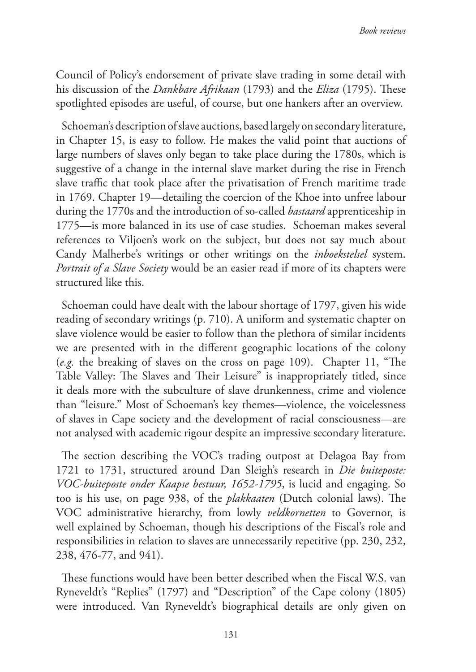Council of Policy's endorsement of private slave trading in some detail with his discussion of the *Dankbare Afrikaan* (1793) and the *Eliza* (1795). These spotlighted episodes are useful, of course, but one hankers after an overview.

Schoeman's description of slave auctions, based largely on secondary literature, in Chapter 15, is easy to follow. He makes the valid point that auctions of large numbers of slaves only began to take place during the 1780s, which is suggestive of a change in the internal slave market during the rise in French slave traffic that took place after the privatisation of French maritime trade in 1769. Chapter 19—detailing the coercion of the Khoe into unfree labour during the 1770s and the introduction of so-called *bastaard* apprenticeship in 1775—is more balanced in its use of case studies. Schoeman makes several references to Viljoen's work on the subject, but does not say much about Candy Malherbe's writings or other writings on the *inboekstelsel* system. *Portrait of a Slave Society* would be an easier read if more of its chapters were structured like this.

Schoeman could have dealt with the labour shortage of 1797, given his wide reading of secondary writings (p. 710). A uniform and systematic chapter on slave violence would be easier to follow than the plethora of similar incidents we are presented with in the different geographic locations of the colony (*e.g.* the breaking of slaves on the cross on page 109). Chapter 11, "The Table Valley: The Slaves and Their Leisure" is inappropriately titled, since it deals more with the subculture of slave drunkenness, crime and violence than "leisure." Most of Schoeman's key themes—violence, the voicelessness of slaves in Cape society and the development of racial consciousness—are not analysed with academic rigour despite an impressive secondary literature.

The section describing the VOC's trading outpost at Delagoa Bay from 1721 to 1731, structured around Dan Sleigh's research in *Die buiteposte: VOC-buiteposte onder Kaapse bestuur, 1652-1795*, is lucid and engaging. So too is his use, on page 938, of the *plakkaaten* (Dutch colonial laws). The VOC administrative hierarchy, from lowly *veldkornetten* to Governor, is well explained by Schoeman, though his descriptions of the Fiscal's role and responsibilities in relation to slaves are unnecessarily repetitive (pp. 230, 232, 238, 476-77, and 941).

These functions would have been better described when the Fiscal W.S. van Ryneveldt's "Replies" (1797) and "Description" of the Cape colony (1805) were introduced. Van Ryneveldt's biographical details are only given on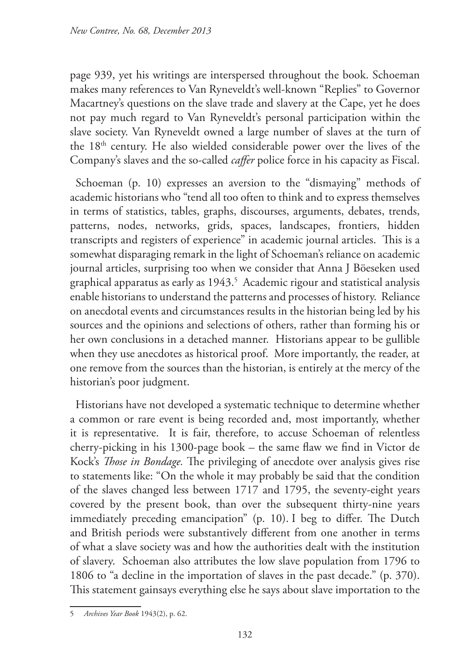page 939, yet his writings are interspersed throughout the book. Schoeman makes many references to Van Ryneveldt's well-known "Replies" to Governor Macartney's questions on the slave trade and slavery at the Cape, yet he does not pay much regard to Van Ryneveldt's personal participation within the slave society. Van Ryneveldt owned a large number of slaves at the turn of the 18th century. He also wielded considerable power over the lives of the Company's slaves and the so-called *caffer* police force in his capacity as Fiscal.

Schoeman (p. 10) expresses an aversion to the "dismaying" methods of academic historians who "tend all too often to think and to express themselves in terms of statistics, tables, graphs, discourses, arguments, debates, trends, patterns, nodes, networks, grids, spaces, landscapes, frontiers, hidden transcripts and registers of experience" in academic journal articles. This is a somewhat disparaging remark in the light of Schoeman's reliance on academic journal articles, surprising too when we consider that Anna J Böeseken used graphical apparatus as early as 1943.<sup>5</sup> Academic rigour and statistical analysis enable historians to understand the patterns and processes of history. Reliance on anecdotal events and circumstances results in the historian being led by his sources and the opinions and selections of others, rather than forming his or her own conclusions in a detached manner. Historians appear to be gullible when they use anecdotes as historical proof. More importantly, the reader, at one remove from the sources than the historian, is entirely at the mercy of the historian's poor judgment.

Historians have not developed a systematic technique to determine whether a common or rare event is being recorded and, most importantly, whether it is representative. It is fair, therefore, to accuse Schoeman of relentless cherry-picking in his 1300-page book – the same flaw we find in Victor de Kock's *Those in Bondage.* The privileging of anecdote over analysis gives rise to statements like: "On the whole it may probably be said that the condition of the slaves changed less between 1717 and 1795, the seventy-eight years covered by the present book, than over the subsequent thirty-nine years immediately preceding emancipation" (p. 10). I beg to differ. The Dutch and British periods were substantively different from one another in terms of what a slave society was and how the authorities dealt with the institution of slavery. Schoeman also attributes the low slave population from 1796 to 1806 to "a decline in the importation of slaves in the past decade." (p. 370). This statement gainsays everything else he says about slave importation to the

<sup>5</sup> *Archives Year Book* 1943(2), p. 62.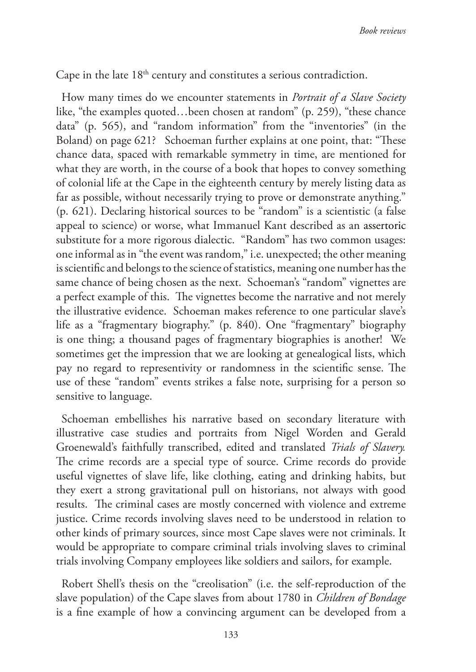Cape in the late 18<sup>th</sup> century and constitutes a serious contradiction.

How many times do we encounter statements in *Portrait of a Slave Society* like, "the examples quoted…been chosen at random" (p. 259), "these chance data" (p. 565), and "random information" from the "inventories" (in the Boland) on page 621? Schoeman further explains at one point, that: "These chance data, spaced with remarkable symmetry in time, are mentioned for what they are worth, in the course of a book that hopes to convey something of colonial life at the Cape in the eighteenth century by merely listing data as far as possible, without necessarily trying to prove or demonstrate anything." (p. 621). Declaring historical sources to be "random" is a scientistic (a false appeal to science) or worse, what Immanuel Kant described as an assertoric substitute for a more rigorous dialectic. "Random" has two common usages: one informal as in "the event was random," i.e. unexpected; the other meaning is scientific and belongs to the science of statistics, meaning one number has the same chance of being chosen as the next. Schoeman's "random" vignettes are a perfect example of this. The vignettes become the narrative and not merely the illustrative evidence. Schoeman makes reference to one particular slave's life as a "fragmentary biography." (p. 840). One "fragmentary" biography is one thing; a thousand pages of fragmentary biographies is another! We sometimes get the impression that we are looking at genealogical lists, which pay no regard to representivity or randomness in the scientific sense. The use of these "random" events strikes a false note, surprising for a person so sensitive to language.

Schoeman embellishes his narrative based on secondary literature with illustrative case studies and portraits from Nigel Worden and Gerald Groenewald's faithfully transcribed, edited and translated *Trials of Slavery.*  The crime records are a special type of source. Crime records do provide useful vignettes of slave life, like clothing, eating and drinking habits, but they exert a strong gravitational pull on historians, not always with good results. The criminal cases are mostly concerned with violence and extreme justice. Crime records involving slaves need to be understood in relation to other kinds of primary sources, since most Cape slaves were not criminals. It would be appropriate to compare criminal trials involving slaves to criminal trials involving Company employees like soldiers and sailors, for example.

Robert Shell's thesis on the "creolisation" (i.e. the self-reproduction of the slave population) of the Cape slaves from about 1780 in *Children of Bondage*  is a fine example of how a convincing argument can be developed from a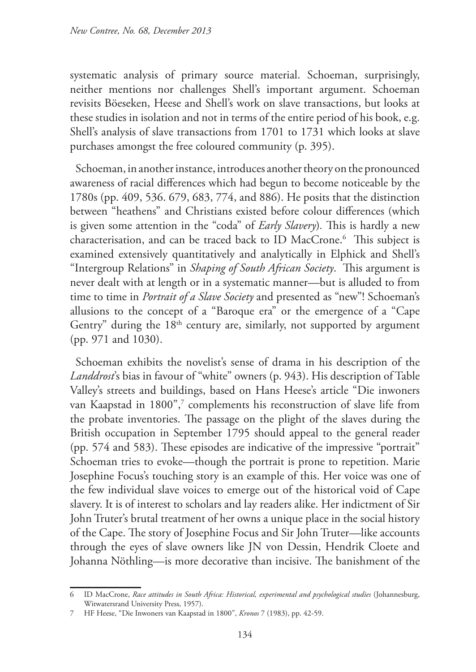systematic analysis of primary source material. Schoeman, surprisingly, neither mentions nor challenges Shell's important argument. Schoeman revisits Böeseken, Heese and Shell's work on slave transactions, but looks at these studies in isolation and not in terms of the entire period of his book, e.g. Shell's analysis of slave transactions from 1701 to 1731 which looks at slave purchases amongst the free coloured community (p. 395).

Schoeman, in another instance, introduces another theory on the pronounced awareness of racial differences which had begun to become noticeable by the 1780s (pp. 409, 536. 679, 683, 774, and 886). He posits that the distinction between "heathens" and Christians existed before colour differences (which is given some attention in the "coda" of *Early Slavery*)*.* This is hardly a new characterisation, and can be traced back to ID MacCrone.6 This subject is examined extensively quantitatively and analytically in Elphick and Shell's "Intergroup Relations" in *Shaping of South African Society*.This argument is never dealt with at length or in a systematic manner—but is alluded to from time to time in *Portrait of a Slave Society* and presented as "new"! Schoeman's allusions to the concept of a "Baroque era" or the emergence of a "Cape Gentry" during the  $18<sup>th</sup>$  century are, similarly, not supported by argument (pp. 971 and 1030).

Schoeman exhibits the novelist's sense of drama in his description of the *Landdrost*'s bias in favour of "white" owners (p. 943). His description of Table Valley's streets and buildings, based on Hans Heese's article "Die inwoners van Kaapstad in 1800",<sup>7</sup> complements his reconstruction of slave life from the probate inventories. The passage on the plight of the slaves during the British occupation in September 1795 should appeal to the general reader (pp. 574 and 583). These episodes are indicative of the impressive "portrait" Schoeman tries to evoke—though the portrait is prone to repetition. Marie Josephine Focus's touching story is an example of this. Her voice was one of the few individual slave voices to emerge out of the historical void of Cape slavery. It is of interest to scholars and lay readers alike. Her indictment of Sir John Truter's brutal treatment of her owns a unique place in the social history of the Cape. The story of Josephine Focus and Sir John Truter—like accounts through the eyes of slave owners like JN von Dessin, Hendrik Cloete and Johanna Nöthling—is more decorative than incisive. The banishment of the

<sup>6</sup> ID MacCrone, *Race attitudes in South Africa: Historical, experimental and psychological studies* (Johannesburg, Witwatersrand University Press, 1957).

<sup>7</sup> HF Heese, "Die Inwoners van Kaapstad in 1800", *Kronos* 7 (1983), pp. 42-59.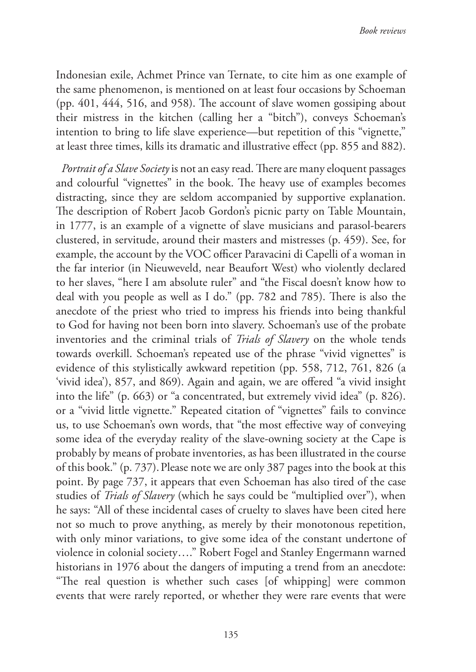Indonesian exile, Achmet Prince van Ternate, to cite him as one example of the same phenomenon, is mentioned on at least four occasions by Schoeman (pp. 401, 444, 516, and 958). The account of slave women gossiping about their mistress in the kitchen (calling her a "bitch"), conveys Schoeman's intention to bring to life slave experience—but repetition of this "vignette," at least three times, kills its dramatic and illustrative effect (pp. 855 and 882).

*Portrait of a Slave Society* is not an easy read. There are many eloquent passages and colourful "vignettes" in the book. The heavy use of examples becomes distracting, since they are seldom accompanied by supportive explanation. The description of Robert Jacob Gordon's picnic party on Table Mountain, in 1777, is an example of a vignette of slave musicians and parasol-bearers clustered, in servitude, around their masters and mistresses (p. 459). See, for example, the account by the VOC officer Paravacini di Capelli of a woman in the far interior (in Nieuweveld, near Beaufort West) who violently declared to her slaves, "here I am absolute ruler" and "the Fiscal doesn't know how to deal with you people as well as I do." (pp. 782 and 785). There is also the anecdote of the priest who tried to impress his friends into being thankful to God for having not been born into slavery. Schoeman's use of the probate inventories and the criminal trials of *Trials of Slavery* on the whole tends towards overkill. Schoeman's repeated use of the phrase "vivid vignettes" is evidence of this stylistically awkward repetition (pp. 558, 712, 761, 826 (a 'vivid idea'), 857, and 869). Again and again, we are offered "a vivid insight into the life" (p. 663) or "a concentrated, but extremely vivid idea" (p. 826). or a "vivid little vignette." Repeated citation of "vignettes" fails to convince us, to use Schoeman's own words, that "the most effective way of conveying some idea of the everyday reality of the slave-owning society at the Cape is probably by means of probate inventories, as has been illustrated in the course of this book." (p. 737).Please note we are only 387 pages into the book at this point. By page 737, it appears that even Schoeman has also tired of the case studies of *Trials of Slavery* (which he says could be "multiplied over"), when he says: "All of these incidental cases of cruelty to slaves have been cited here not so much to prove anything, as merely by their monotonous repetition, with only minor variations, to give some idea of the constant undertone of violence in colonial society…." Robert Fogel and Stanley Engermann warned historians in 1976 about the dangers of imputing a trend from an anecdote: "The real question is whether such cases [of whipping] were common events that were rarely reported, or whether they were rare events that were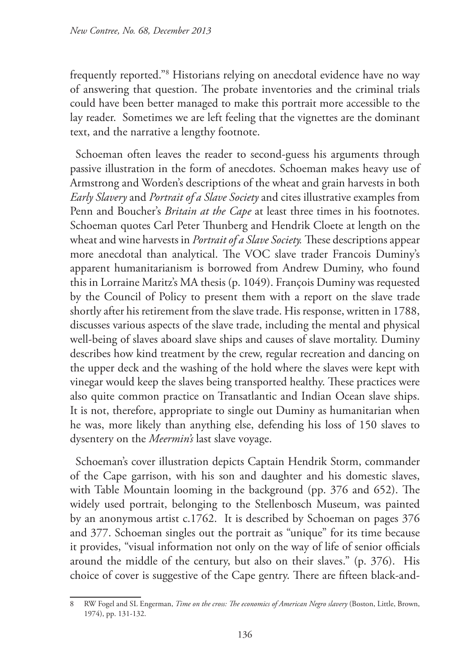frequently reported."8 Historians relying on anecdotal evidence have no way of answering that question. The probate inventories and the criminal trials could have been better managed to make this portrait more accessible to the lay reader. Sometimes we are left feeling that the vignettes are the dominant text, and the narrative a lengthy footnote.

Schoeman often leaves the reader to second-guess his arguments through passive illustration in the form of anecdotes. Schoeman makes heavy use of Armstrong and Worden's descriptions of the wheat and grain harvests in both *Early Slavery* and *Portrait of a Slave Society* and cites illustrative examples from Penn and Boucher's *Britain at the Cape* at least three times in his footnotes. Schoeman quotes Carl Peter Thunberg and Hendrik Cloete at length on the wheat and wine harvests in *Portrait of a Slave Society.* These descriptions appear more anecdotal than analytical. The VOC slave trader Francois Duminy's apparent humanitarianism is borrowed from Andrew Duminy, who found this in Lorraine Maritz's MA thesis (p. 1049). François Duminy was requested by the Council of Policy to present them with a report on the slave trade shortly after his retirement from the slave trade. His response, written in 1788, discusses various aspects of the slave trade, including the mental and physical well-being of slaves aboard slave ships and causes of slave mortality. Duminy describes how kind treatment by the crew, regular recreation and dancing on the upper deck and the washing of the hold where the slaves were kept with vinegar would keep the slaves being transported healthy. These practices were also quite common practice on Transatlantic and Indian Ocean slave ships. It is not, therefore, appropriate to single out Duminy as humanitarian when he was, more likely than anything else, defending his loss of 150 slaves to dysentery on the *Meermin's* last slave voyage.

Schoeman's cover illustration depicts Captain Hendrik Storm, commander of the Cape garrison, with his son and daughter and his domestic slaves, with Table Mountain looming in the background (pp. 376 and 652). The widely used portrait, belonging to the Stellenbosch Museum, was painted by an anonymous artist c.1762. It is described by Schoeman on pages 376 and 377. Schoeman singles out the portrait as "unique" for its time because it provides, "visual information not only on the way of life of senior officials around the middle of the century, but also on their slaves." (p. 376). His choice of cover is suggestive of the Cape gentry. There are fifteen black-and-

<sup>8</sup> RW Fogel and SL Engerman, *Time on the cross: The economics of American Negro slavery* (Boston, Little, Brown, 1974), pp. 131-132.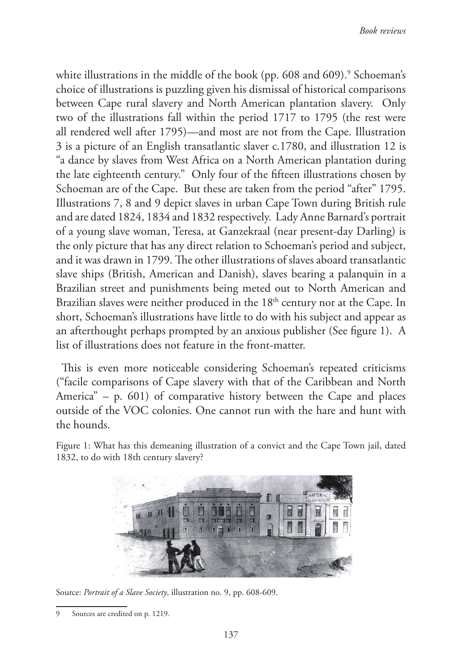white illustrations in the middle of the book (pp. 608 and 609).<sup>9</sup> Schoeman's choice of illustrations is puzzling given his dismissal of historical comparisons between Cape rural slavery and North American plantation slavery. Only two of the illustrations fall within the period 1717 to 1795 (the rest were all rendered well after 1795)—and most are not from the Cape. Illustration 3 is a picture of an English transatlantic slaver c.1780, and illustration 12 is "a dance by slaves from West Africa on a North American plantation during the late eighteenth century." Only four of the fifteen illustrations chosen by Schoeman are of the Cape. But these are taken from the period "after" 1795. Illustrations 7, 8 and 9 depict slaves in urban Cape Town during British rule and are dated 1824, 1834 and 1832 respectively. Lady Anne Barnard's portrait of a young slave woman, Teresa, at Ganzekraal (near present-day Darling) is the only picture that has any direct relation to Schoeman's period and subject, and it was drawn in 1799. The other illustrations of slaves aboard transatlantic slave ships (British, American and Danish), slaves bearing a palanquin in a Brazilian street and punishments being meted out to North American and Brazilian slaves were neither produced in the 18<sup>th</sup> century nor at the Cape. In short, Schoeman's illustrations have little to do with his subject and appear as an afterthought perhaps prompted by an anxious publisher (See figure 1). A list of illustrations does not feature in the front-matter.

This is even more noticeable considering Schoeman's repeated criticisms ("facile comparisons of Cape slavery with that of the Caribbean and North America"  $-$  p. 601) of comparative history between the Cape and places outside of the VOC colonies. One cannot run with the hare and hunt with the hounds.

Figure 1: What has this demeaning illustration of a convict and the Cape Town jail, dated 1832, to do with 18th century slavery?



Source: *Portrait of a Slave Society*, illustration no. 9, pp. 608-609.

<sup>9</sup> Sources are credited on p. 1219.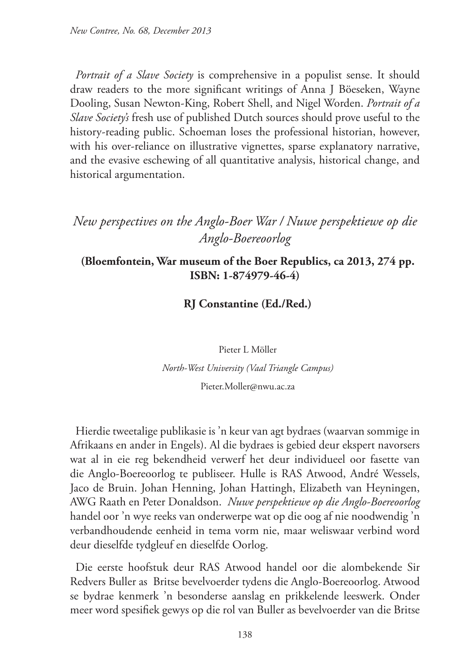*Portrait of a Slave Society* is comprehensive in a populist sense. It should draw readers to the more significant writings of Anna J Böeseken, Wayne Dooling, Susan Newton-King, Robert Shell, and Nigel Worden. *Portrait of a Slave Society's* fresh use of published Dutch sources should prove useful to the history-reading public. Schoeman loses the professional historian, however, with his over-reliance on illustrative vignettes, sparse explanatory narrative, and the evasive eschewing of all quantitative analysis, historical change, and historical argumentation.

# *New perspectives on the Anglo-Boer War / Nuwe perspektiewe op die Anglo-Boereoorlog*

## **(Bloemfontein, War museum of the Boer Republics, ca 2013, 274 pp. ISBN: 1-874979-46-4)**

**RJ Constantine (Ed./Red.)**

Pieter L Möller *North-West University (Vaal Triangle Campus)*

Pieter.Moller@nwu.ac.za

Hierdie tweetalige publikasie is 'n keur van agt bydraes (waarvan sommige in Afrikaans en ander in Engels). Al die bydraes is gebied deur ekspert navorsers wat al in eie reg bekendheid verwerf het deur individueel oor fasette van die Anglo-Boereoorlog te publiseer. Hulle is RAS Atwood, André Wessels, Jaco de Bruin. Johan Henning, Johan Hattingh, Elizabeth van Heyningen, AWG Raath en Peter Donaldson. *Nuwe perspektiewe op die Anglo-Boereoorlog* handel oor 'n wye reeks van onderwerpe wat op die oog af nie noodwendig 'n verbandhoudende eenheid in tema vorm nie, maar weliswaar verbind word deur dieselfde tydgleuf en dieselfde Oorlog.

Die eerste hoofstuk deur RAS Atwood handel oor die alombekende Sir Redvers Buller as Britse bevelvoerder tydens die Anglo-Boereoorlog. Atwood se bydrae kenmerk 'n besonderse aanslag en prikkelende leeswerk. Onder meer word spesifiek gewys op die rol van Buller as bevelvoerder van die Britse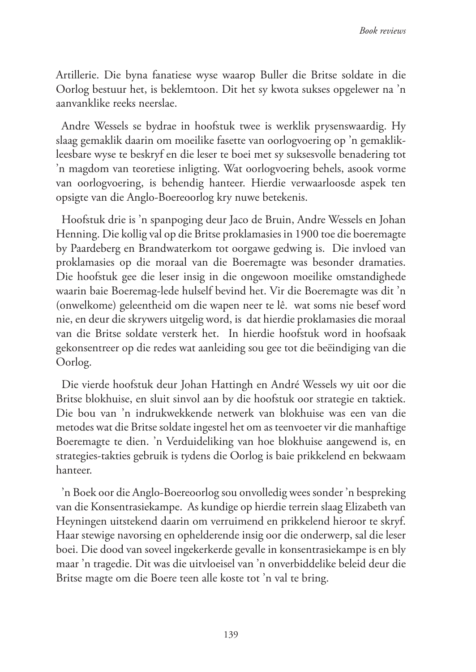Artillerie. Die byna fanatiese wyse waarop Buller die Britse soldate in die Oorlog bestuur het, is beklemtoon. Dit het sy kwota sukses opgelewer na 'n aanvanklike reeks neerslae.

Andre Wessels se bydrae in hoofstuk twee is werklik prysenswaardig. Hy slaag gemaklik daarin om moeilike fasette van oorlogvoering op 'n gemaklikleesbare wyse te beskryf en die leser te boei met sy suksesvolle benadering tot 'n magdom van teoretiese inligting. Wat oorlogvoering behels, asook vorme van oorlogvoering, is behendig hanteer. Hierdie verwaarloosde aspek ten opsigte van die Anglo-Boereoorlog kry nuwe betekenis.

Hoofstuk drie is 'n spanpoging deur Jaco de Bruin, Andre Wessels en Johan Henning. Die kollig val op die Britse proklamasies in 1900 toe die boeremagte by Paardeberg en Brandwaterkom tot oorgawe gedwing is. Die invloed van proklamasies op die moraal van die Boeremagte was besonder dramaties. Die hoofstuk gee die leser insig in die ongewoon moeilike omstandighede waarin baie Boeremag-lede hulself bevind het. Vir die Boeremagte was dit 'n (onwelkome) geleentheid om die wapen neer te lê. wat soms nie besef word nie, en deur die skrywers uitgelig word, is dat hierdie proklamasies die moraal van die Britse soldate versterk het. In hierdie hoofstuk word in hoofsaak gekonsentreer op die redes wat aanleiding sou gee tot die beëindiging van die Oorlog.

Die vierde hoofstuk deur Johan Hattingh en André Wessels wy uit oor die Britse blokhuise, en sluit sinvol aan by die hoofstuk oor strategie en taktiek. Die bou van 'n indrukwekkende netwerk van blokhuise was een van die metodes wat die Britse soldate ingestel het om as teenvoeter vir die manhaftige Boeremagte te dien. 'n Verduideliking van hoe blokhuise aangewend is, en strategies-takties gebruik is tydens die Oorlog is baie prikkelend en bekwaam hanteer.

'n Boek oor die Anglo-Boereoorlog sou onvolledig wees sonder 'n bespreking van die Konsentrasiekampe. As kundige op hierdie terrein slaag Elizabeth van Heyningen uitstekend daarin om verruimend en prikkelend hieroor te skryf. Haar stewige navorsing en ophelderende insig oor die onderwerp, sal die leser boei. Die dood van soveel ingekerkerde gevalle in konsentrasiekampe is en bly maar 'n tragedie. Dit was die uitvloeisel van 'n onverbiddelike beleid deur die Britse magte om die Boere teen alle koste tot 'n val te bring.